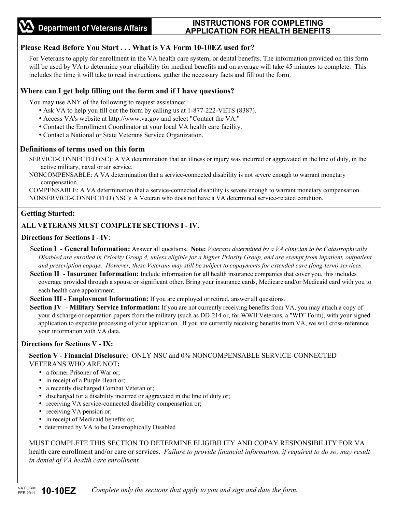## **INSTRUCTIONS FOR COMPLETING APPLICATION FOR HEALTH BENEFITS**

## **Please Read Before You Start . . . What is VA Form 10-10EZ used for?**

For Veterans to apply for enrollment in the VA health care system, or dental benefits. The information provided on this form will be used by VA to determine your eligibility for medical benefits and on average will take 45 minutes to complete. This includes the time it will take to read instructions, gather the necessary facts and fill out the form.

### **Where can I get help filling out the form and if I have questions?**

You may use ANY of the following to request assistance:

- Ask VA to help you fill out the form by calling us at 1-877-222-VETS (8387).
- Access VA's website at http://www.va.gov and select "Contact the VA."
- Contact the Enrollment Coordinator at your local VA health care facility.
- Contact a National or State Veterans Service Organization.

#### **Definitions of terms used on this form**

SERVICE-CONNECTED (SC): A VA determination that an illness or injury was incurred or aggravated in the line of duty, in the active military, naval or air service.

NONCOMPENSABLE: A VA determination that a service-connected disability is not severe enough to warrant monetary compensation.

COMPENSABLE: A VA determination that a service-connected disability is severe enough to warrant monetary compensation. NONSERVICE-CONNECTED (NSC): A Veteran who does not have a VA determined service-related condition.

#### **Getting Started:**  L

#### **ALL VETERANS MUST COMPLETE SECTIONS I - IV.**

#### **Directions for Sections I - IV**:

- S**ection I General Information:** Answer all questions. **Note:** *Veterans determined by a VA clinician to be Catastrophically Disabled are enrolled in Priority Group 4, unless eligible for a higher Priority Group, and are exempt from inpatient, outpatient and prescription copays. However, these Veterans may still be subject to copayments for extended care (long-term) services*.
- **Section II Insurance Information:** Include information for all health insurance companies that cover you, this includes coverage provided through a spouse or significant other. Bring your insurance cards, Medicare and/or Medicaid card with you to each health care appointment.

**Section III - Employment Information:** If you are employed or retired, answer all questions.

**Section IV** - **Military Service Information:** If you are not currently receiving benefits from VA, you may attach a copy of your discharge or separation papers from the military (such as DD-214 or, for WWII Veterans, a "WD" Form), with your signed application to expedite processing of your application. If you are currently receiving benefits from VA, we will cross-reference your information with VA data.

#### **Directions for Sections V - IX:**

**Section V - Financial Disclosure:** ONLY NSC and 0% NONCOMPENSABLE SERVICE-CONNECTED VETERANS WHO ARE NOT**:** 

- a former Prisoner of War or:
- in receipt of a Purple Heart or;
- a recently discharged Combat Veteran or;
- discharged for a disability incurred or aggravated in the line of duty or;
- receiving VA service-connected disability compensation or;
- receiving VA pension or;
- in receipt of Medicaid benefits or;
- determined by VA to be Catastrophically Disabled

MUST COMPLETE THIS SECTION TO DETERMINE ELIGIBILITY AND COPAY RESPONSIBILITY FOR VA health care enrollment and/or care or services.*Failure to provide financial information, if required to do so, may result in denial of VA health care enrollment.*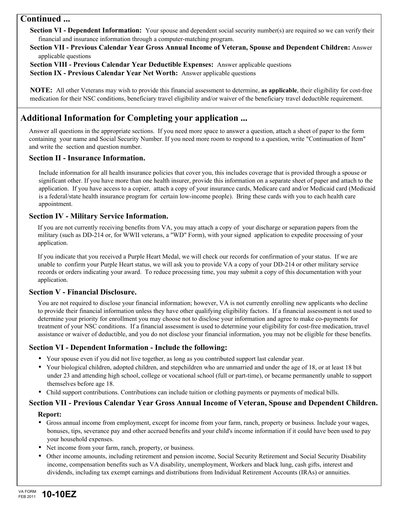# **Continued ...**

**Section VI - Dependent Information:** Your spouse and dependent social security number(s) are required so we can verify their financial and insurance information through a computer-matching program.

#### **Section VII - Previous Calendar Year Gross Annual Income of Veteran, Spouse and Dependent Children:** Answer applicable questions

**Section VIII - Previous Calendar Year Deductible Expenses:** Answer applicable questions **Section IX - Previous Calendar Year Net Worth:** Answer applicable questions

**NOTE:** All other Veterans may wish to provide this financial assessment to determine, **as applicable**, their eligibility for cost-free medication for their NSC conditions, beneficiary travel eligibility and/or waiver of the beneficiary travel deductible requirement.

# **Additional Information for Completing your application ...**

Answer all questions in the appropriate sections. If you need more space to answer a question, attach a sheet of paper to the form containing your name and Social Security Number. If you need more room to respond to a question, write "Continuation of Item" and write the section and question number.

#### **Section II - Insurance Information.**

Include information for all health insurance policies that cover you, this includes coverage that is provided through a spouse or significant other. If you have more than one health insurer, provide this information on a separate sheet of paper and attach to the application. If you have access to a copier, attach a copy of your insurance cards, Medicare card and/or Medicaid card (Medicaid is a federal/state health insurance program for certain low-income people). Bring these cards with you to each health care appointment.

#### **Section IV - Military Service Information.**

If you are not currently receiving benefits from VA, you may attach a copy of your discharge or separation papers from the military (such as DD-214 or, for WWII veterans, a "WD" Form), with your signed application to expedite processing of your application.

If you indicate that you received a Purple Heart Medal, we will check our records for confirmation of your status. If we are unable to confirm your Purple Heart status, we will ask you to provide VA a copy of your DD-214 or other military service records or orders indicating your award. To reduce processing time, you may submit a copy of this documentation with your application.

## **Section V - Financial Disclosure.**

You are not required to disclose your financial information; however, VA is not currently enrolling new applicants who decline to provide their financial information unless they have other qualifying eligibility factors. If a financial assessment is not used to determine your priority for enrollment you may choose not to disclose your information and agree to make co-payments for treatment of your NSC conditions. If a financial assessment is used to determine your eligibility for cost-free medication, travel assistance or waiver of deductible, and you do not disclose your financial information, you may not be eligible for these benefits.

#### **Section VI - Dependent Information - Include the following:**

- Your spouse even if you did not live together, as long as you contributed support last calendar year.
- Your biological children, adopted children, and stepchildren who are unmarried and under the age of 18, or at least 18 but under 23 and attending high school, college or vocational school (full or part-time), or became permanently unable to support themselves before age 18.
- Child support contributions. Contributions can include tuition or clothing payments or payments of medical bills.

# **Section VII - Previous Calendar Year Gross Annual Income of Veteran, Spouse and Dependent Children.**

#### **Report:**

- Gross annual income from employment, except for income from your farm, ranch, property or business. Include your wages, bonuses, tips, severance pay and other accrued benefits and your child's income information if it could have been used to pay your household expenses.
- Net income from your farm, ranch, property, or business.
- Other income amounts, including retirement and pension income, Social Security Retirement and Social Security Disability income, compensation benefits such as VA disability, unemployment, Workers and black lung, cash gifts, interest and dividends, including tax exempt earnings and distributions from Individual Retirement Accounts (IRAs) or annuities.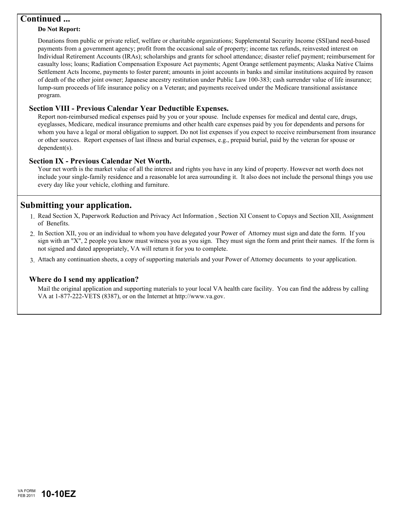# **Continued ...**

#### **Do Not Report:**

Donations from public or private relief, welfare or charitable organizations; Supplemental Security Income (SSI)and need-based payments from a government agency; profit from the occasional sale of property; income tax refunds, reinvested interest on Individual Retirement Accounts (IRAs); scholarships and grants for school attendance; disaster relief payment; reimbursement for casualty loss; loans; Radiation Compensation Exposure Act payments; Agent Orange settlement payments; Alaska Native Claims Settlement Acts Income, payments to foster parent; amounts in joint accounts in banks and similar institutions acquired by reason of death of the other joint owner; Japanese ancestry restitution under Public Law 100-383; cash surrender value of life insurance; lump-sum proceeds of life insurance policy on a Veteran; and payments received under the Medicare transitional assistance program.

#### **Section VIII - Previous Calendar Year Deductible Expenses.**

Report non-reimbursed medical expenses paid by you or your spouse. Include expenses for medical and dental care, drugs, eyeglasses, Medicare, medical insurance premiums and other health care expenses paid by you for dependents and persons for whom you have a legal or moral obligation to support. Do not list expenses if you expect to receive reimbursement from insurance or other sources. Report expenses of last illness and burial expenses, e.g., prepaid burial, paid by the veteran for spouse or dependent(s).

#### **Section IX - Previous Calendar Net Worth.**

Your net worth is the market value of all the interest and rights you have in any kind of property. However net worth does not include your single-family residence and a reasonable lot area surrounding it. It also does not include the personal things you use every day like your vehicle, clothing and furniture.

# **Submitting your application.**

- 1. Read Section X, Paperwork Reduction and Privacy Act Information, Section XI Consent to Copays and Section XII, Assignment of Benefits.
- 2. In Section XII, you or an individual to whom you have delegated your Power of Attorney must sign and date the form. If you sign with an "X", 2 people you know must witness you as you sign. They must sign the form and print their names. If the form is not signed and dated appropriately, VA will return it for you to complete.
- Attach any continuation sheets, a copy of supporting materials and your Power of Attorney documents to your application. 3.

#### **Where do I send my application?**

Mail the original application and supporting materials to your local VA health care facility. You can find the address by calling VA at 1-877-222-VETS (8387), or on the Internet at http://www.va.gov.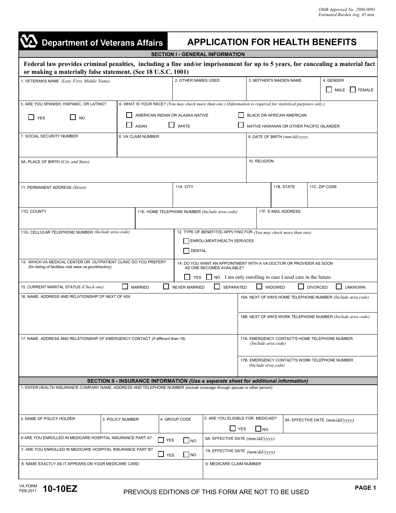| <b>Department of Veterans Affairs</b>                                                                                                                                                           |                    | <b>APPLICATION FOR HEALTH BENEFITS</b>         |                                  |                                                                                                               |                                                                   |                                                                       |                                  |                                                                       |                               |  |                                 |                     |               |
|-------------------------------------------------------------------------------------------------------------------------------------------------------------------------------------------------|--------------------|------------------------------------------------|----------------------------------|---------------------------------------------------------------------------------------------------------------|-------------------------------------------------------------------|-----------------------------------------------------------------------|----------------------------------|-----------------------------------------------------------------------|-------------------------------|--|---------------------------------|---------------------|---------------|
|                                                                                                                                                                                                 |                    |                                                |                                  | <b>SECTION I - GENERAL INFORMATION</b>                                                                        |                                                                   |                                                                       |                                  |                                                                       |                               |  |                                 |                     |               |
| Federal law provides criminal penalties, including a fine and/or imprisonment for up to 5 years, for concealing a material fact<br>or making a materially false statement. (See 18 U.S.C. 1001) |                    |                                                |                                  |                                                                                                               |                                                                   |                                                                       |                                  |                                                                       |                               |  |                                 |                     |               |
| 1. VETERAN'S NAME (Last, First, Middle Name)                                                                                                                                                    |                    |                                                |                                  | 2. OTHER NAMES USED                                                                                           |                                                                   |                                                                       |                                  | 3. MOTHER'S MAIDEN NAME                                               |                               |  |                                 | 4. GENDER<br>I MALE | <b>FEMALE</b> |
| 5. ARE YOU SPANISH, HISPANIC, OR LATINO?                                                                                                                                                        |                    |                                                |                                  | 6. WHAT IS YOUR RACE? (You may check more than one.) (Information is required for statistical purposes only.) |                                                                   |                                                                       |                                  |                                                                       |                               |  |                                 |                     |               |
| I J YES<br>l 1<br><b>NO</b>                                                                                                                                                                     |                    |                                                | AMERICAN INDIAN OR ALASKA NATIVE |                                                                                                               |                                                                   |                                                                       | <b>BLACK OR AFRICAN AMERICAN</b> |                                                                       |                               |  |                                 |                     |               |
| <b>ASIAN</b>                                                                                                                                                                                    |                    |                                                |                                  | $\Box$ WHITE                                                                                                  |                                                                   |                                                                       |                                  | NATIVE HAWAIIAN OR OTHER PACIFIC ISLANDER                             |                               |  |                                 |                     |               |
| 7. SOCIAL SECURITY NUMBER                                                                                                                                                                       | 8. VA CLAIM NUMBER |                                                |                                  |                                                                                                               |                                                                   |                                                                       |                                  |                                                                       | 9. DATE OF BIRTH (mm/dd/yyyy) |  |                                 |                     |               |
| 9A. PLACE OF BIRTH (City and State)                                                                                                                                                             |                    |                                                |                                  |                                                                                                               |                                                                   |                                                                       |                                  | 10. RELIGION                                                          |                               |  |                                 |                     |               |
| 11. PERMANENT ADDRESS (Street)                                                                                                                                                                  |                    |                                                |                                  | 11A. CITY                                                                                                     |                                                                   |                                                                       |                                  | 11B. STATE                                                            |                               |  | 11C. ZIP CODE                   |                     |               |
| 11D. COUNTY                                                                                                                                                                                     |                    | 11E. HOME TELEPHONE NUMBER (Include area code) |                                  |                                                                                                               |                                                                   | 11F. E-MAIL ADDRESS                                                   |                                  |                                                                       |                               |  |                                 |                     |               |
| 11G. CELLULAR TELEPHONE NUMBER (Include area code)                                                                                                                                              |                    |                                                |                                  |                                                                                                               | 12. TYPE OF BENEFIT(S) APPLYING FOR (You may check more than one) |                                                                       |                                  |                                                                       |                               |  |                                 |                     |               |
|                                                                                                                                                                                                 |                    |                                                |                                  |                                                                                                               | <b>ENROLLMENT/HEALTH SERVICES</b>                                 |                                                                       |                                  |                                                                       |                               |  |                                 |                     |               |
|                                                                                                                                                                                                 |                    |                                                |                                  | <b>DENTAL</b>                                                                                                 |                                                                   |                                                                       |                                  |                                                                       |                               |  |                                 |                     |               |
| 13. WHICH VA MEDICAL CENTER OR OUTPATIENT CLINIC DO YOU PREFER?<br>(for listing of facilities visit www.va.gov/directory)                                                                       |                    |                                                |                                  | 14. DO YOU WANT AN APPOINTMENT WITH A VA DOCTOR OR PROVIDER AS SOON                                           |                                                                   | AS ONE BECOMES AVAILABLE?                                             |                                  |                                                                       |                               |  |                                 |                     |               |
|                                                                                                                                                                                                 |                    |                                                |                                  | YES                                                                                                           |                                                                   |                                                                       |                                  | NO I am only enrolling in case I need care in the future.             |                               |  |                                 |                     |               |
| $\mathbf{I}$<br><b>SEPARATED</b><br><b>WIDOWED</b><br>LΙ<br>15. CURRENT MARITAL STATUS (Check one)<br><b>MARRIED</b><br><b>NEVER MARRIED</b><br><b>DIVORCED</b>                                 |                    |                                                |                                  |                                                                                                               |                                                                   |                                                                       | <b>UNKNOWN</b>                   |                                                                       |                               |  |                                 |                     |               |
| 16. NAME, ADDRESS AND RELATIONSHIP OF NEXT OF KIN                                                                                                                                               |                    |                                                |                                  |                                                                                                               |                                                                   |                                                                       |                                  | 16A. NEXT OF KIN'S HOME TELEPHONE NUMBER (Include area code)          |                               |  |                                 |                     |               |
|                                                                                                                                                                                                 |                    |                                                |                                  |                                                                                                               |                                                                   | 16B. NEXT OF KIN'S WORK TELEPHONE NUMBER (Include area code)          |                                  |                                                                       |                               |  |                                 |                     |               |
| 17. NAME, ADDRESS AND RELATIONSHIP OF EMERGENCY CONTACT (if different than 16)                                                                                                                  |                    |                                                |                                  |                                                                                                               |                                                                   | 17A. EMERGENCY CONTACT'S HOME TELEPHONE NUMBER<br>(Include area code) |                                  |                                                                       |                               |  |                                 |                     |               |
|                                                                                                                                                                                                 |                    |                                                |                                  |                                                                                                               |                                                                   |                                                                       |                                  | 17B. EMERGENCY CONTACT'S WORK TELEPHONE NUMBER<br>(Include area code) |                               |  |                                 |                     |               |
|                                                                                                                                                                                                 |                    |                                                |                                  | SECTION II - INSURANCE INFORMATION (Use a separate sheet for additional information)                          |                                                                   |                                                                       |                                  |                                                                       |                               |  |                                 |                     |               |
| 1. ENTER HEALTH INSURANCE COMPANY NAME, ADDRESS AND TELEPHONE NUMBER (include coverage through spouse or other person)                                                                          |                    |                                                |                                  |                                                                                                               |                                                                   |                                                                       |                                  |                                                                       |                               |  |                                 |                     |               |
|                                                                                                                                                                                                 |                    |                                                |                                  |                                                                                                               |                                                                   |                                                                       |                                  |                                                                       |                               |  |                                 |                     |               |
| 2. NAME OF POLICY HOLDER                                                                                                                                                                        | 3. POLICY NUMBER   |                                                |                                  | 4. GROUP CODE                                                                                                 | 5. ARE YOU ELIGIBLE FOR MEDICAID?<br>YES                          |                                                                       |                                  | $\blacksquare$ NO                                                     |                               |  | 5A. EFFECTIVE DATE (mm/dd/yyyy) |                     |               |
| 6 ARE YOU ENROLLED IN MEDICARE HOSPITAL INSURANCE PART A?<br><b>NES</b>                                                                                                                         |                    |                                                |                                  | N                                                                                                             |                                                                   |                                                                       | 6A. EFFECTIVE DATE (mm/dd/yyyy)  |                                                                       |                               |  |                                 |                     |               |
| 7. ARE YOU ENROLLED IN MEDICARE HOSPITAL INSURANCE PART B?<br>$\Box$ YES<br>$ $ NO                                                                                                              |                    |                                                |                                  |                                                                                                               | 7A. EFFECTIVE DATE (mm/dd/yyyy)                                   |                                                                       |                                  |                                                                       |                               |  |                                 |                     |               |
| 8. NAME EXACTLY AS IT APPEARS ON YOUR MEDICARE CARD                                                                                                                                             |                    |                                                |                                  | 9. MEDICARE CLAIM NUMBER                                                                                      |                                                                   |                                                                       |                                  |                                                                       |                               |  |                                 |                     |               |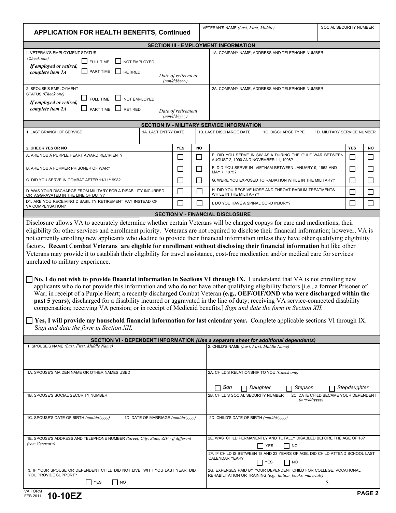| <b>APPLICATION FOR HEALTH BENEFITS, Continued</b>                                                                                                                                                                                                                                                                                                                                                                                                                                                                                                                                                                                                                                                                                                                                                                                                                                                                                                                                                                                                                                                                                                 |                                   |                                    |        | VETERAN'S NAME (Last, First, Middle)                                                                                                                                                                                            |                                                | SOCIAL SECURITY NUMBER      |            |           |  |  |  |
|---------------------------------------------------------------------------------------------------------------------------------------------------------------------------------------------------------------------------------------------------------------------------------------------------------------------------------------------------------------------------------------------------------------------------------------------------------------------------------------------------------------------------------------------------------------------------------------------------------------------------------------------------------------------------------------------------------------------------------------------------------------------------------------------------------------------------------------------------------------------------------------------------------------------------------------------------------------------------------------------------------------------------------------------------------------------------------------------------------------------------------------------------|-----------------------------------|------------------------------------|--------|---------------------------------------------------------------------------------------------------------------------------------------------------------------------------------------------------------------------------------|------------------------------------------------|-----------------------------|------------|-----------|--|--|--|
|                                                                                                                                                                                                                                                                                                                                                                                                                                                                                                                                                                                                                                                                                                                                                                                                                                                                                                                                                                                                                                                                                                                                                   |                                   |                                    |        |                                                                                                                                                                                                                                 |                                                |                             |            |           |  |  |  |
| <b>SECTION III - EMPLOYMENT INFORMATION</b>                                                                                                                                                                                                                                                                                                                                                                                                                                                                                                                                                                                                                                                                                                                                                                                                                                                                                                                                                                                                                                                                                                       |                                   |                                    |        |                                                                                                                                                                                                                                 |                                                |                             |            |           |  |  |  |
| 1. VETERAN'S EMPLOYMENT STATUS<br>(Check one)<br>I FULL TIME<br>If employed or retired,<br><b>FART TIME</b><br>complete item 1A                                                                                                                                                                                                                                                                                                                                                                                                                                                                                                                                                                                                                                                                                                                                                                                                                                                                                                                                                                                                                   | NOT EMPLOYED<br><b>RETIRED</b>    |                                    |        |                                                                                                                                                                                                                                 | 1A. COMPANY NAME, ADDRESS AND TELEPHONE NUMBER |                             |            |           |  |  |  |
|                                                                                                                                                                                                                                                                                                                                                                                                                                                                                                                                                                                                                                                                                                                                                                                                                                                                                                                                                                                                                                                                                                                                                   |                                   | Date of retirement<br>(mm/dd/yyyy) |        |                                                                                                                                                                                                                                 |                                                |                             |            |           |  |  |  |
| 2. SPOUSE'S EMPLOYMENT<br>STATUS (Check one)<br>$\Box$ FULL TIME $\Box$ NOT EMPLOYED<br>If employed or retired,                                                                                                                                                                                                                                                                                                                                                                                                                                                                                                                                                                                                                                                                                                                                                                                                                                                                                                                                                                                                                                   |                                   |                                    |        |                                                                                                                                                                                                                                 | 2A. COMPANY NAME, ADDRESS AND TELEPHONE NUMBER |                             |            |           |  |  |  |
| $\Box$ part time $\Box$ retired<br>complete item 2A                                                                                                                                                                                                                                                                                                                                                                                                                                                                                                                                                                                                                                                                                                                                                                                                                                                                                                                                                                                                                                                                                               |                                   | Date of retirement<br>(mm/dd/yyyy) |        |                                                                                                                                                                                                                                 |                                                |                             |            |           |  |  |  |
|                                                                                                                                                                                                                                                                                                                                                                                                                                                                                                                                                                                                                                                                                                                                                                                                                                                                                                                                                                                                                                                                                                                                                   |                                   |                                    |        | SECTION IV - MILITARY SERVICE INFORMATION                                                                                                                                                                                       |                                                |                             |            |           |  |  |  |
| 1. LAST BRANCH OF SERVICE                                                                                                                                                                                                                                                                                                                                                                                                                                                                                                                                                                                                                                                                                                                                                                                                                                                                                                                                                                                                                                                                                                                         | 1A. LAST ENTRY DATE               |                                    |        | 1B. LAST DISCHARGE DATE                                                                                                                                                                                                         | 1C. DISCHARGE TYPE                             | 1D. MILITARY SERVICE NUMBER |            |           |  |  |  |
| 2. CHECK YES OR NO                                                                                                                                                                                                                                                                                                                                                                                                                                                                                                                                                                                                                                                                                                                                                                                                                                                                                                                                                                                                                                                                                                                                |                                   | <b>YES</b>                         | NO     |                                                                                                                                                                                                                                 |                                                |                             | <b>YES</b> | <b>NO</b> |  |  |  |
| A. ARE YOU A PURPLE HEART AWARD RECIPIENT?                                                                                                                                                                                                                                                                                                                                                                                                                                                                                                                                                                                                                                                                                                                                                                                                                                                                                                                                                                                                                                                                                                        |                                   | $\Box$                             | □      | E. DID YOU SERVE IN SW ASIA DURING THE GULF WAR BETWEEN<br>AUGUST 2, 1990 AND NOVEMBER 11, 1998?                                                                                                                                | $\sim$                                         | $\Box$                      |            |           |  |  |  |
| B. ARE YOU A FORMER PRISONER OF WAR?                                                                                                                                                                                                                                                                                                                                                                                                                                                                                                                                                                                                                                                                                                                                                                                                                                                                                                                                                                                                                                                                                                              |                                   | П                                  | □      | F. DID YOU SERVE IN VIETNAM BETWEEN JANUARY 9, 1962 AND<br>MAY 7, 1975?                                                                                                                                                         |                                                | $\Box$                      | $\Box$     |           |  |  |  |
| C. DID YOU SERVE IN COMBAT AFTER 11/11/1998?                                                                                                                                                                                                                                                                                                                                                                                                                                                                                                                                                                                                                                                                                                                                                                                                                                                                                                                                                                                                                                                                                                      |                                   | $\Box$                             | $\Box$ | G. WERE YOU EXPOSED TO RADIATION WHILE IN THE MILITARY?                                                                                                                                                                         |                                                | $\Box$                      | $\Box$     |           |  |  |  |
| D. WAS YOUR DISCHARGE FROM MILITARY FOR A DISABILITY INCURRED<br>OR AGGRAVATED IN THE LINE OF DUTY?                                                                                                                                                                                                                                                                                                                                                                                                                                                                                                                                                                                                                                                                                                                                                                                                                                                                                                                                                                                                                                               |                                   | $\Box$                             | $\Box$ | H. DID YOU RECEIVE NOSE AND THROAT RADIUM TREATMENTS<br>WHILE IN THE MILITARY?                                                                                                                                                  | $\mathcal{L}$                                  | $\Box$                      |            |           |  |  |  |
| D1. ARE YOU RECEIVING DISABILITY RETIREMENT PAY INSTEAD OF<br>VA COMPENSATION?                                                                                                                                                                                                                                                                                                                                                                                                                                                                                                                                                                                                                                                                                                                                                                                                                                                                                                                                                                                                                                                                    |                                   | $\Box$                             | П      | I. DO YOU HAVE A SPINAL CORD INJURY?                                                                                                                                                                                            | $\mathsf{L}$                                   | П                           |            |           |  |  |  |
|                                                                                                                                                                                                                                                                                                                                                                                                                                                                                                                                                                                                                                                                                                                                                                                                                                                                                                                                                                                                                                                                                                                                                   |                                   |                                    |        | <b>SECTION V - FINANCIAL DISCLOSURE</b>                                                                                                                                                                                         |                                                |                             |            |           |  |  |  |
| factors. Recent Combat Veterans are eligible for enrollment without disclosing their financial information but like other<br>Veterans may provide it to establish their eligibility for travel assistance, cost-free medication and/or medical care for services<br>unrelated to military experience.<br>$\Box$ No, I do not wish to provide financial information in Sections VI through IX. I understand that VA is not enrolling new<br>applicants who do not provide this information and who do not have other qualifying eligibility factors [i.e., a former Prisoner of<br>War; in receipt of a Purple Heart; a recently discharged Combat Veteran (e.g., OEF/OIF/OND who were discharged within the<br>past 5 years); discharged for a disability incurred or aggravated in the line of duty; receiving VA service-connected disability<br>compensation; receiving VA pension; or in receipt of Medicaid benefits.] Sign and date the form in Section XII.<br>$\Box$ Yes, I will provide my household financial information for last calendar year. Complete applicable sections VI through IX.<br>Sign and date the form in Section XII. |                                   |                                    |        |                                                                                                                                                                                                                                 |                                                |                             |            |           |  |  |  |
| SECTION VI - DEPENDENT INFORMATION (Use a separate sheet for additional dependents)                                                                                                                                                                                                                                                                                                                                                                                                                                                                                                                                                                                                                                                                                                                                                                                                                                                                                                                                                                                                                                                               |                                   |                                    |        |                                                                                                                                                                                                                                 |                                                |                             |            |           |  |  |  |
| 1. SPOUSE'S NAME (Last, First, Middle Name)                                                                                                                                                                                                                                                                                                                                                                                                                                                                                                                                                                                                                                                                                                                                                                                                                                                                                                                                                                                                                                                                                                       |                                   |                                    |        | 2. CHILD'S NAME (Last, First, Middle Name)                                                                                                                                                                                      |                                                |                             |            |           |  |  |  |
| 1A. SPOUSE'S MAIDEN NAME OR OTHER NAMES USED                                                                                                                                                                                                                                                                                                                                                                                                                                                                                                                                                                                                                                                                                                                                                                                                                                                                                                                                                                                                                                                                                                      |                                   |                                    |        | 2A. CHILD'S RELATIONSHIP TO YOU (Check one)                                                                                                                                                                                     |                                                |                             |            |           |  |  |  |
|                                                                                                                                                                                                                                                                                                                                                                                                                                                                                                                                                                                                                                                                                                                                                                                                                                                                                                                                                                                                                                                                                                                                                   |                                   |                                    |        | Son<br>Stepson<br>$\neg$ Daughter<br>Stepdaughter<br>П                                                                                                                                                                          |                                                |                             |            |           |  |  |  |
| 1B. SPOUSE'S SOCIAL SECURITY NUMBER                                                                                                                                                                                                                                                                                                                                                                                                                                                                                                                                                                                                                                                                                                                                                                                                                                                                                                                                                                                                                                                                                                               |                                   |                                    |        | 2B. CHILD'S SOCIAL SECURITY NUMBER<br>2C. DATE CHILD BECAME YOUR DEPENDENT<br>(mm/dd/yyyy)                                                                                                                                      |                                                |                             |            |           |  |  |  |
| 1C. SPOUSE'S DATE OF BIRTH (mm/dd/yyyy)                                                                                                                                                                                                                                                                                                                                                                                                                                                                                                                                                                                                                                                                                                                                                                                                                                                                                                                                                                                                                                                                                                           | 1D. DATE OF MARRIAGE (mm/dd/yyyy) |                                    |        |                                                                                                                                                                                                                                 | 2D. CHILD'S DATE OF BIRTH (mm/dd/yyyy)         |                             |            |           |  |  |  |
| 1E. SPOUSE'S ADDRESS AND TELEPHONE NUMBER (Street, City, State, ZIP - if different<br>from Veteran's)                                                                                                                                                                                                                                                                                                                                                                                                                                                                                                                                                                                                                                                                                                                                                                                                                                                                                                                                                                                                                                             |                                   |                                    |        | 2E. WAS CHILD PERMANENTLY AND TOTALLY DISABLED BEFORE THE AGE OF 18?<br>$\Box$ NO<br><b>YES</b><br>2F. IF CHILD IS BETWEEN 18 AND 23 YEARS OF AGE, DID CHILD ATTEND SCHOOL LAST<br>CALENDAR YEAR?<br>$\Box$ NO<br>$\bigcap$ YES |                                                |                             |            |           |  |  |  |
| 3. IF YOUR SPOUSE OR DEPENDENT CHILD DID NOT LIVE WITH YOU LAST YEAR, DID<br>YOU PROVIDE SUPPORT?<br>$\Box$ YES<br>$\Box$ NO                                                                                                                                                                                                                                                                                                                                                                                                                                                                                                                                                                                                                                                                                                                                                                                                                                                                                                                                                                                                                      |                                   |                                    |        | 2G. EXPENSES PAID BY YOUR DEPENDENT CHILD FOR COLLEGE, VOCATIONAL<br>REHABILITATION OR TRAINING (e.g., tuition, books, materials)<br>\$                                                                                         |                                                |                             |            |           |  |  |  |